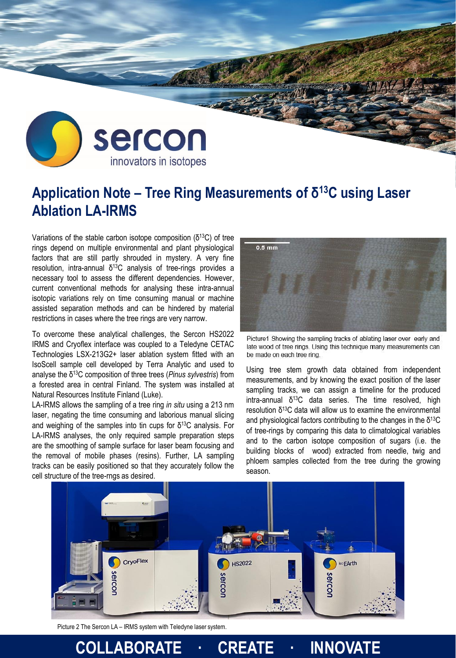

## **Application Note – Tree Ring Measurements of δ <sup>13</sup>C using Laser Ablation LA-IRMS**

Variations of the stable carbon isotope composition  $(\delta^{13}C)$  of tree rings depend on multiple environmental and plant physiological factors that are still partly shrouded in mystery. A very fine resolution, intra-annual  $δ<sup>13</sup>C$  analysis of tree-rings provides a necessary tool to assess the different dependencies. However, current conventional methods for analysing these intra-annual isotopic variations rely on time consuming manual or machine assisted separation methods and can be hindered by material restrictions in cases where the tree rings are very narrow.

To overcome these analytical challenges, the Sercon HS2022 IRMS and Cryoflex interface was coupled to a Teledyne CETAC Technologies LSX-213G2+ laser ablation system fitted with an IsoScell sample cell developed by Terra Analytic and used to analyse the δ <sup>13</sup>C composition of three trees (*Pinus sylvestris*) from a forested area in central Finland. The system was installed at Natural Resources Institute Finland (Luke).

LA-IRMS allows the sampling of a tree ring *in situ* using a 213 nm laser, negating the time consuming and laborious manual slicing and weighing of the samples into tin cups for  $\delta^{13}$ C analysis. For LA-IRMS analyses, the only required sample preparation steps are the smoothing of sample surface for laser beam focusing and the removal of mobile phases (resins). Further, LA sampling tracks can be easily positioned so that they accurately follow the cell structure of the tree-rngs as desired.



Picture1 Showing the sampling tracks of ablating laser over early and late wood of tree rings. Using this technique many measurements can be made on each tree ring.

Using tree stem growth data obtained from independent measurements, and by knowing the exact position of the laser sampling tracks, we can assign a timeline for the produced intra-annual δ<sup>13</sup>C data series. The time resolved, high resolution δ <sup>13</sup>C data will allow us to examine the environmental and physiological factors contributing to the changes in the  $\delta^{13}C$ of tree-rings by comparing this data to climatological variables and to the carbon isotope composition of sugars (i.e. the building blocks of wood) extracted from needle, twig and phloem samples collected from the tree during the growing season.



**COLLABORATE · CREATE · INNOVATE**

Picture 2 The Sercon LA – IRMS system with Teledyne laser system.